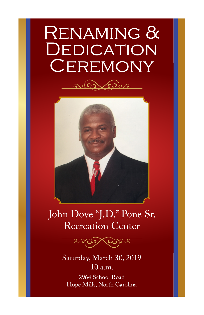# **DEDICATION** Renaming & **CEREMONY**





# John Dove "J.D." Pone Sr. Recreation Center



Saturday, March 30, 2019 10 a.m.

2964 School Road Hope Mills, North Carolina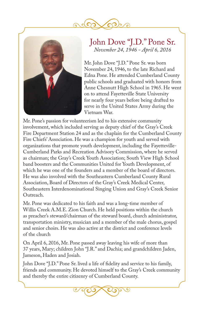



## John Dove "J.D." Pone Sr. *November 24, 1946 - April 6, 2016*

Mr. John Dove "J.D." Pone Sr. was born November 24, 1946, to the late Richard and Edna Pone. He attended Cumberland County public schools and graduated with honors from Anne Chesnutt High School in 1965. He went on to attend Fayetteville State University for nearly four years before being drafted to serve in the United States Army during the Vietnam War.

Mr. Pone's passion for volunteerism led to his extensive community involvement, which included serving as deputy chief of the Gray's Creek Fire Department Station 24 and as the chaplain for the Cumberland County Fire Chiefs' Association. He was a champion for youth and served with organizations that promote youth development, including the Fayetteville-Cumberland Parks and Recreation Advisory Commission, where he served as chairman; the Gray's Creek Youth Association; South View High School band boosters and the Communities United for Youth Development, of which he was one of the founders and a member of the board of directors. He was also involved with the Southeastern Cumberland County Rural Association, Board of Directors of the Gray's Creek Medical Center, Southeastern Interdenominational Singing Union and Gray's Creek Senior Outreach.

Mr. Pone was dedicated to his faith and was a long-time member of Willis Creek A.M.E. Zion Church. He held positions within the church as preacher's steward/chairman of the steward board, church administrator, transportation ministry, musician and a member of the male chorus, gospel and senior choirs. He was also active at the district and conference levels of the church

On April 6, 2016, Mr. Pone passed away leaving his wife of more than 37 years, Mary; children John "J.R." and Dachia; and grandchildren Jaden, Jameson, Haden and Josiah.

John Dove "J.D." Pone Sr. lived a life of fidelity and service to his family, friends and community. He devoted himself to the Gray's Creek community and thereby the entire citizenry of Cumberland County.

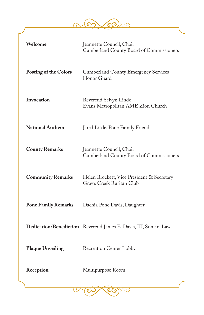$\bigcirc$  $\mathcal{C}$ 6  $\bullet$ ာ

| Welcome                      | Jeannette Council, Chair<br>Cumberland County Board of Commissioners    |
|------------------------------|-------------------------------------------------------------------------|
| <b>Posting of the Colors</b> | <b>Cumberland County Emergency Services</b><br>Honor Guard              |
| Invocation                   | Reverend Selvyn Lindo<br>Evans Metropolitan AME Zion Church             |
| <b>National Anthem</b>       | Jared Little, Pone Family Friend                                        |
| <b>County Remarks</b>        | Jeannette Council, Chair<br>Cumberland County Board of Commissioners    |
| <b>Community Remarks</b>     | Helen Brockett, Vice President & Secretary<br>Gray's Creek Ruritan Club |
| <b>Pone Family Remarks</b>   | Dachia Pone Davis, Daughter                                             |
|                              | Dedication/Benediction Reverend James E. Davis, III, Son-in-Law         |
| <b>Plaque Unveiling</b>      | Recreation Center Lobby                                                 |
| Reception                    | Multipurpose Room                                                       |